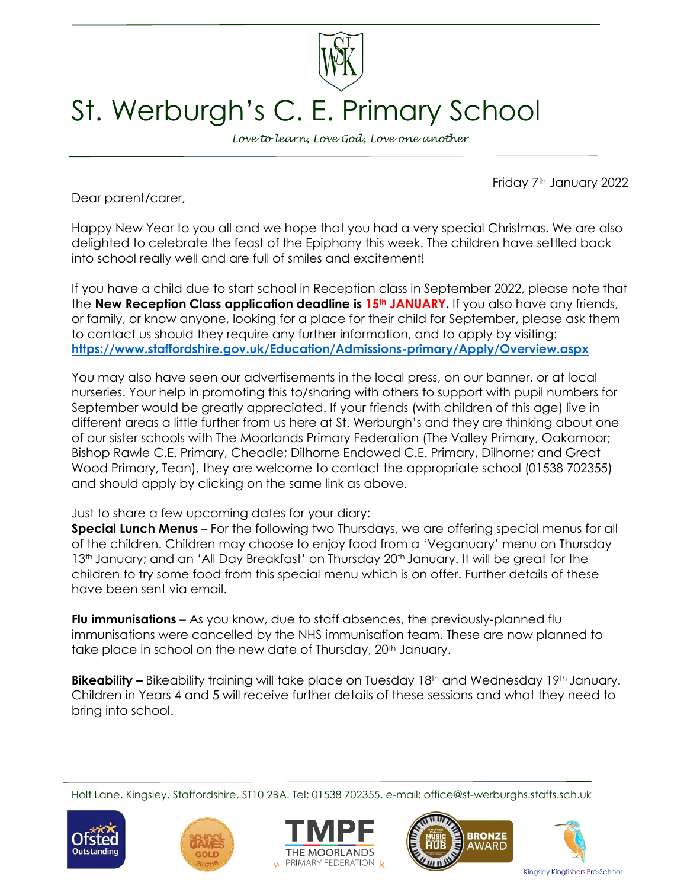

## St. Werburgh's C. E. Primary School

*Love to learn, Love God, Love one another*

Friday 7th January 2022

Dear parent/carer,

Happy New Year to you all and we hope that you had a very special Christmas. We are also delighted to celebrate the feast of the Epiphany this week. The children have settled back into school really well and are full of smiles and excitement!

If you have a child due to start school in Reception class in September 2022, please note that the **New Reception Class application deadline is 15th JANUARY.** If you also have any friends, or family, or know anyone, looking for a place for their child for September, please ask them to contact us should they require any further information, and to apply by visiting: **<https://www.staffordshire.gov.uk/Education/Admissions-primary/Apply/Overview.aspx>**

You may also have seen our advertisements in the local press, on our banner, or at local nurseries. Your help in promoting this to/sharing with others to support with pupil numbers for September would be greatly appreciated. If your friends (with children of this age) live in different areas a little further from us here at St. Werburgh's and they are thinking about one of our sister schools with The Moorlands Primary Federation (The Valley Primary, Oakamoor; Bishop Rawle C.E. Primary, Cheadle; Dilhorne Endowed C.E. Primary, Dilhorne; and Great Wood Primary, Tean), they are welcome to contact the appropriate school (01538 702355) and should apply by clicking on the same link as above.

## Just to share a few upcoming dates for your diary:

**Special Lunch Menus** – For the following two Thursdays, we are offering special menus for all of the children. Children may choose to enjoy food from a 'Veganuary' menu on Thursday 13<sup>th</sup> January; and an 'All Day Breakfast' on Thursday 20<sup>th</sup> January. It will be great for the children to try some food from this special menu which is on offer. Further details of these have been sent via email.

**Flu immunisations** – As you know, due to staff absences, the previously-planned flu immunisations were cancelled by the NHS immunisation team. These are now planned to take place in school on the new date of Thursday, 20<sup>th</sup> January.

**Bikeability** – Bikeability training will take place on Tuesday 18<sup>th</sup> and Wednesday 19<sup>th</sup> January. Children in Years 4 and 5 will receive further details of these sessions and what they need to bring into school.

Holt Lane, Kingsley, Staffordshire, ST10 2BA. Tel: 01538 702355. e-mail: office@st-werburghs.staffs.sch.uk